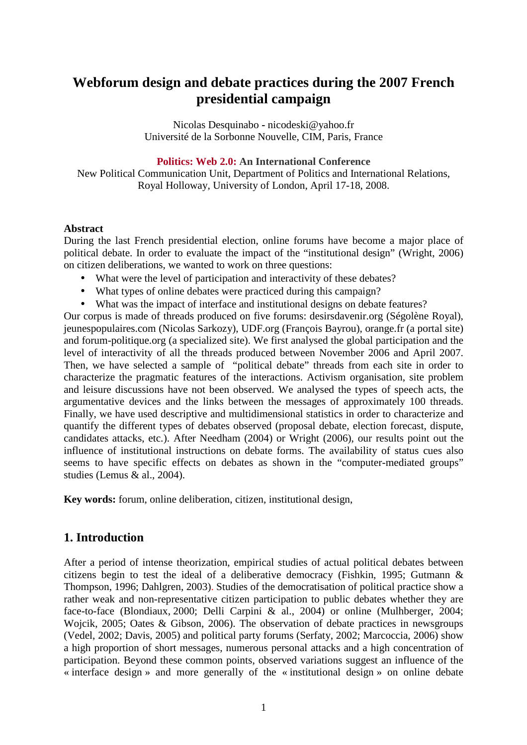# **Webforum design and debate practices during the 2007 French presidential campaign**

Nicolas Desquinabo **-** nicodeski@yahoo.fr Université de la Sorbonne Nouvelle, CIM, Paris, France

**Politics: Web 2.0: An International Conference** 

New Political Communication Unit, Department of Politics and International Relations, Royal Holloway, University of London, April 17-18, 2008.

#### **Abstract**

During the last French presidential election, online forums have become a major place of political debate. In order to evaluate the impact of the "institutional design" (Wright, 2006) on citizen deliberations, we wanted to work on three questions:

- What were the level of participation and interactivity of these debates?
- What types of online debates were practiced during this campaign?
- What was the impact of interface and institutional designs on debate features?

Our corpus is made of threads produced on five forums: desirsdavenir.org (Ségolène Royal), jeunespopulaires.com (Nicolas Sarkozy), UDF.org (François Bayrou), orange.fr (a portal site) and forum-politique.org (a specialized site). We first analysed the global participation and the level of interactivity of all the threads produced between November 2006 and April 2007. Then, we have selected a sample of "political debate" threads from each site in order to characterize the pragmatic features of the interactions. Activism organisation, site problem and leisure discussions have not been observed. We analysed the types of speech acts, the argumentative devices and the links between the messages of approximately 100 threads. Finally, we have used descriptive and multidimensional statistics in order to characterize and quantify the different types of debates observed (proposal debate, election forecast, dispute, candidates attacks, etc.). After Needham (2004) or Wright (2006), our results point out the influence of institutional instructions on debate forms. The availability of status cues also seems to have specific effects on debates as shown in the "computer-mediated groups" studies (Lemus & al., 2004).

**Key words:** forum, online deliberation, citizen, institutional design,

## **1. Introduction**

After a period of intense theorization, empirical studies of actual political debates between citizens begin to test the ideal of a deliberative democracy (Fishkin, 1995; Gutmann & Thompson, 1996; Dahlgren, 2003). Studies of the democratisation of political practice show a rather weak and non-representative citizen participation to public debates whether they are face-to-face (Blondiaux, 2000; Delli Carpini & al., 2004) or online (Mulhberger, 2004; Wojcik, 2005; Oates & Gibson, 2006). The observation of debate practices in newsgroups (Vedel, 2002; Davis, 2005) and political party forums (Serfaty, 2002; Marcoccia, 2006) show a high proportion of short messages, numerous personal attacks and a high concentration of participation. Beyond these common points, observed variations suggest an influence of the « interface design » and more generally of the « institutional design » on online debate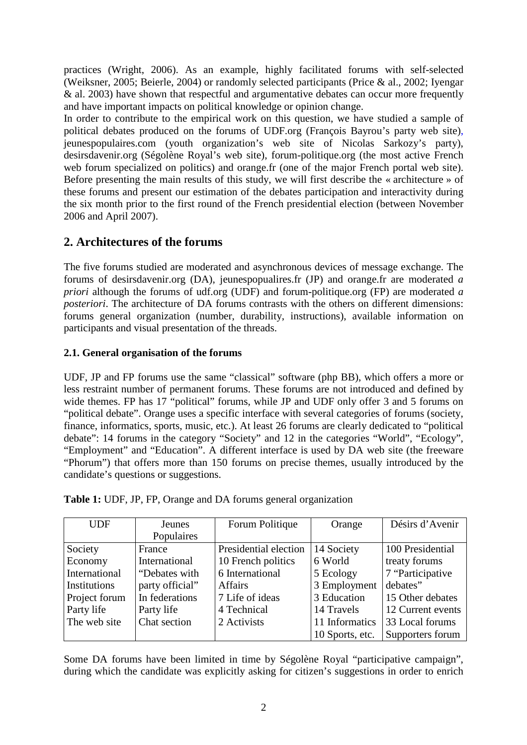practices (Wright, 2006). As an example, highly facilitated forums with self-selected (Weiksner, 2005; Beierle, 2004) or randomly selected participants (Price & al., 2002; Iyengar & al. 2003) have shown that respectful and argumentative debates can occur more frequently and have important impacts on political knowledge or opinion change.

In order to contribute to the empirical work on this question, we have studied a sample of political debates produced on the forums of UDF.org (François Bayrou's party web site), jeunespopulaires.com (youth organization's web site of Nicolas Sarkozy's party), desirsdavenir.org (Ségolène Royal's web site), forum-politique.org (the most active French web forum specialized on politics) and orange.fr (one of the major French portal web site). Before presenting the main results of this study, we will first describe the « architecture » of these forums and present our estimation of the debates participation and interactivity during the six month prior to the first round of the French presidential election (between November 2006 and April 2007).

# **2. Architectures of the forums**

The five forums studied are moderated and asynchronous devices of message exchange. The forums of desirsdavenir.org (DA), jeunespopualires.fr (JP) and orange.fr are moderated *a priori* although the forums of udf.org (UDF) and forum-politique.org (FP) are moderated *a posteriori*. The architecture of DA forums contrasts with the others on different dimensions: forums general organization (number, durability, instructions), available information on participants and visual presentation of the threads.

### **2.1. General organisation of the forums**

UDF, JP and FP forums use the same "classical" software (php BB), which offers a more or less restraint number of permanent forums. These forums are not introduced and defined by wide themes. FP has 17 "political" forums, while JP and UDF only offer 3 and 5 forums on "political debate". Orange uses a specific interface with several categories of forums (society, finance, informatics, sports, music, etc.). At least 26 forums are clearly dedicated to "political debate": 14 forums in the category "Society" and 12 in the categories "World", "Ecology", "Employment" and "Education". A different interface is used by DA web site (the freeware "Phorum") that offers more than 150 forums on precise themes, usually introduced by the candidate's questions or suggestions.

| <b>UDF</b>    | <b>Jeunes</b>   | Forum Politique       | Orange          | Désirs d'Avenir   |
|---------------|-----------------|-----------------------|-----------------|-------------------|
|               | Populaires      |                       |                 |                   |
| Society       | France          | Presidential election | 14 Society      | 100 Presidential  |
| Economy       | International   | 10 French politics    | 6 World         | treaty forums     |
| International | "Debates with   | 6 International       | 5 Ecology       | 7 "Participative  |
| Institutions  | party official" | <b>Affairs</b>        | 3 Employment    | debates"          |
| Project forum | In federations  | 7 Life of ideas       | 3 Education     | 15 Other debates  |
| Party life    | Party life      | 4 Technical           | 14 Travels      | 12 Current events |
| The web site  | Chat section    | 2 Activists           | 11 Informatics  | 33 Local forums   |
|               |                 |                       | 10 Sports, etc. | Supporters forum  |

Some DA forums have been limited in time by Ségolène Royal "participative campaign", during which the candidate was explicitly asking for citizen's suggestions in order to enrich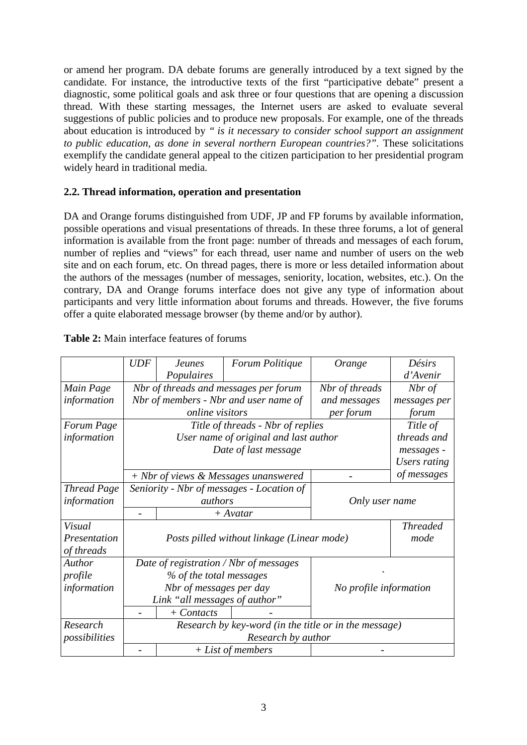or amend her program. DA debate forums are generally introduced by a text signed by the candidate. For instance, the introductive texts of the first "participative debate" present a diagnostic, some political goals and ask three or four questions that are opening a discussion thread. With these starting messages, the Internet users are asked to evaluate several suggestions of public policies and to produce new proposals. For example, one of the threads about education is introduced by *" is it necessary to consider school support an assignment to public education, as done in several northern European countries?".* These solicitations exemplify the candidate general appeal to the citizen participation to her presidential program widely heard in traditional media.

### **2.2. Thread information, operation and presentation**

DA and Orange forums distinguished from UDF, JP and FP forums by available information, possible operations and visual presentations of threads. In these three forums, a lot of general information is available from the front page: number of threads and messages of each forum, number of replies and "views" for each thread, user name and number of users on the web site and on each forum, etc. On thread pages, there is more or less detailed information about the authors of the messages (number of messages, seniority, location, websites, etc.). On the contrary, DA and Orange forums interface does not give any type of information about participants and very little information about forums and threads. However, the five forums offer a quite elaborated message browser (by theme and/or by author).

|                    | <b>UDF</b>                                            | <b>Jeunes</b>                                               | Forum Politique                       | Orange         | Désirs                 |
|--------------------|-------------------------------------------------------|-------------------------------------------------------------|---------------------------------------|----------------|------------------------|
|                    |                                                       | Populaires                                                  |                                       |                | d'Avenir               |
| Main Page          |                                                       |                                                             | Nbr of threads and messages per forum | Nbr of threads | Nbr of                 |
| information        |                                                       |                                                             | Nbr of members - Nbr and user name of | and messages   | messages per           |
|                    |                                                       | online visitors                                             |                                       | per forum      | forum                  |
| Forum Page         |                                                       |                                                             | Title of threads - Nbr of replies     |                | Title of               |
| information        |                                                       | User name of original and last author                       |                                       |                | threads and            |
|                    |                                                       |                                                             | Date of last message                  |                | messages -             |
|                    |                                                       |                                                             |                                       |                | Users rating           |
|                    |                                                       |                                                             | + Nbr of views & Messages unanswered  |                | of messages            |
| <b>Thread Page</b> |                                                       | Seniority - Nbr of messages - Location of<br><i>authors</i> |                                       |                |                        |
| information        |                                                       |                                                             |                                       |                | Only user name         |
|                    |                                                       |                                                             | $+$ Avatar                            |                |                        |
| <i>Visual</i>      |                                                       |                                                             |                                       |                | <b>Threaded</b>        |
| Presentation       |                                                       | Posts pilled without linkage (Linear mode)                  |                                       |                | mode                   |
| of threads         |                                                       |                                                             |                                       |                |                        |
| Author             |                                                       | Date of registration / Nbr of messages                      |                                       |                |                        |
| profile            |                                                       | % of the total messages                                     |                                       |                |                        |
| information        |                                                       | Nbr of messages per day                                     |                                       |                | No profile information |
|                    |                                                       | Link "all messages of author"                               |                                       |                |                        |
|                    |                                                       | $+$ Contacts                                                |                                       |                |                        |
| Research           | Research by key-word (in the title or in the message) |                                                             |                                       |                |                        |
| possibilities      | Research by author                                    |                                                             |                                       |                |                        |
|                    |                                                       | $+ List of members$                                         |                                       |                |                        |

#### **Table 2:** Main interface features of forums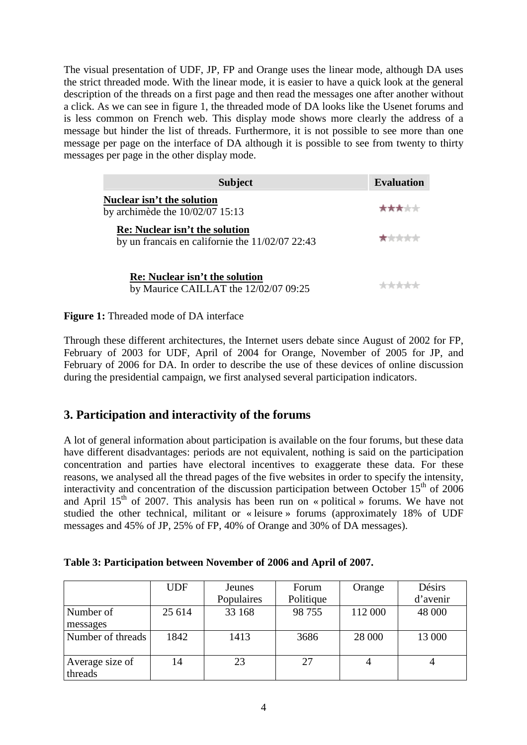The visual presentation of UDF, JP, FP and Orange uses the linear mode, although DA uses the strict threaded mode. With the linear mode, it is easier to have a quick look at the general description of the threads on a first page and then read the messages one after another without a click. As we can see in figure 1, the threaded mode of DA looks like the Usenet forums and is less common on French web. This display mode shows more clearly the address of a message but hinder the list of threads. Furthermore, it is not possible to see more than one message per page on the interface of DA although it is possible to see from twenty to thirty messages per page in the other display mode.

| <b>Subject</b>                                                                             | <b>Evaluation</b> |
|--------------------------------------------------------------------------------------------|-------------------|
| Nuclear isn't the solution<br>by archimede the $10/02/07$ 15:13                            | *****             |
| <b>Re:</b> Nuclear isn't the solution<br>by un francais en californie the $11/02/07$ 22:43 | *****             |
| <b>Re:</b> Nuclear isn't the solution<br>by Maurice CAILLAT the 12/02/07 09:25             |                   |

**Figure 1:** Threaded mode of DA interface

Through these different architectures, the Internet users debate since August of 2002 for FP, February of 2003 for UDF, April of 2004 for Orange, November of 2005 for JP, and February of 2006 for DA. In order to describe the use of these devices of online discussion during the presidential campaign, we first analysed several participation indicators.

# **3. Participation and interactivity of the forums**

A lot of general information about participation is available on the four forums, but these data have different disadvantages: periods are not equivalent, nothing is said on the participation concentration and parties have electoral incentives to exaggerate these data. For these reasons, we analysed all the thread pages of the five websites in order to specify the intensity, interactivity and concentration of the discussion participation between October  $15<sup>th</sup>$  of 2006 and April  $15<sup>th</sup>$  of 2007. This analysis has been run on « political » forums. We have not studied the other technical, militant or « leisure » forums (approximately 18% of UDF messages and 45% of JP, 25% of FP, 40% of Orange and 30% of DA messages).

|                            | <b>UDF</b> | Jeunes<br>Populaires | Forum<br>Politique | Orange  | Désirs<br>d'avenir |
|----------------------------|------------|----------------------|--------------------|---------|--------------------|
| Number of<br>messages      | 25 614     | 33 168               | 98 755             | 112 000 | 48 000             |
| Number of threads          | 1842       | 1413                 | 3686               | 28 000  | 13 000             |
| Average size of<br>threads | 14         | 23                   | 27                 | 4       | 4                  |

| Table 3: Participation between November of 2006 and April of 2007. |
|--------------------------------------------------------------------|
|--------------------------------------------------------------------|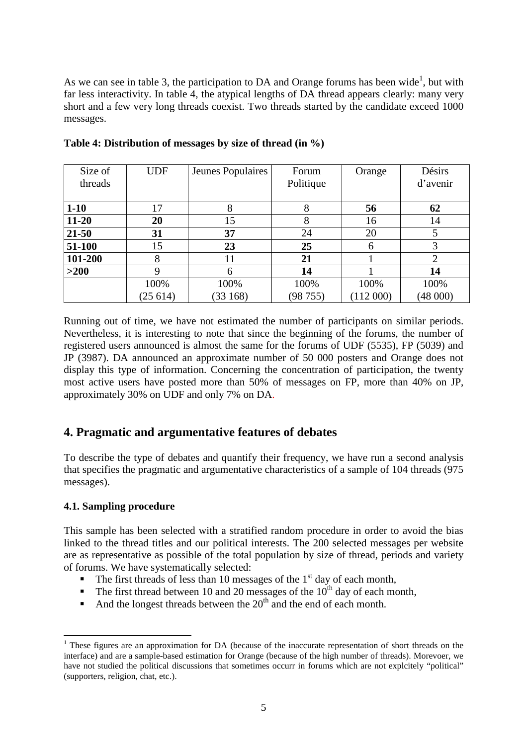As we can see in table 3, the participation to DA and Orange forums has been wide<sup>1</sup>, but with far less interactivity. In table 4, the atypical lengths of DA thread appears clearly: many very short and a few very long threads coexist. Two threads started by the candidate exceed 1000 messages.

| Size of   | <b>UDF</b> | Jeunes Populaires | Forum     | Orange   | Désirs         |
|-----------|------------|-------------------|-----------|----------|----------------|
| threads   |            |                   | Politique |          | d'avenir       |
|           |            |                   |           |          |                |
| $1 - 10$  | 17         | 8                 | 8         | 56       | 62             |
| $11 - 20$ | 20         | 15                | 8         | 16       | 14             |
| $21 - 50$ | 31         | 37                | 24        | 20       |                |
| 51-100    | 15         | 23                | 25        | 6        | 3              |
| 101-200   |            | 11                | 21        |          | $\overline{2}$ |
| $>200$    | Q          | 6                 | 14        |          | 14             |
|           | 100%       | 100%              | 100%      | 100%     | 100%           |
|           | (25614)    | (33168)           | (98755)   | (112000) | (48000)        |

**Table 4: Distribution of messages by size of thread (in %)** 

Running out of time, we have not estimated the number of participants on similar periods. Nevertheless, it is interesting to note that since the beginning of the forums, the number of registered users announced is almost the same for the forums of UDF (5535), FP (5039) and JP (3987). DA announced an approximate number of 50 000 posters and Orange does not display this type of information. Concerning the concentration of participation, the twenty most active users have posted more than 50% of messages on FP, more than 40% on JP, approximately 30% on UDF and only 7% on DA.

## **4. Pragmatic and argumentative features of debates**

To describe the type of debates and quantify their frequency, we have run a second analysis that specifies the pragmatic and argumentative characteristics of a sample of 104 threads (975 messages).

### **4.1. Sampling procedure**

 $\overline{a}$ 

This sample has been selected with a stratified random procedure in order to avoid the bias linked to the thread titles and our political interests. The 200 selected messages per website are as representative as possible of the total population by size of thread, periods and variety of forums. We have systematically selected:

- The first threads of less than 10 messages of the  $1<sup>st</sup>$  day of each month,
- The first thread between 10 and 20 messages of the  $10^{th}$  day of each month,
- And the longest threads between the  $20<sup>th</sup>$  and the end of each month.

<sup>&</sup>lt;sup>1</sup> These figures are an approximation for DA (because of the inaccurate representation of short threads on the interface) and are a sample-based estimation for Orange (because of the high number of threads). Morevoer, we have not studied the political discussions that sometimes occurr in forums which are not explcitely "political" (supporters, religion, chat, etc.).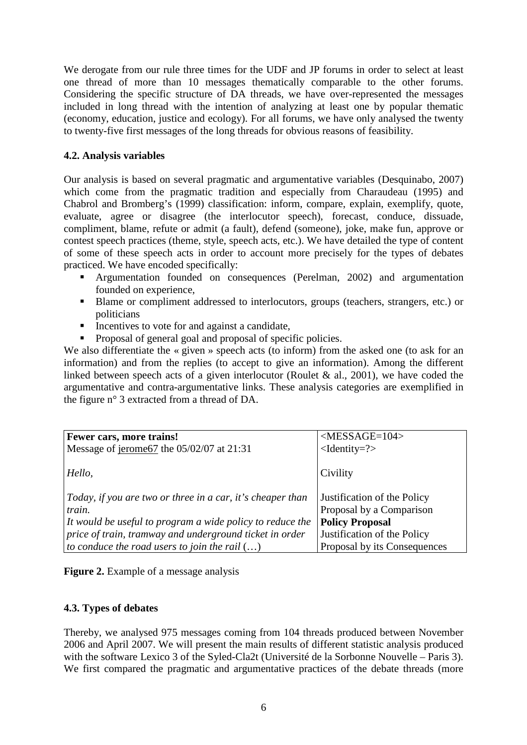We derogate from our rule three times for the UDF and JP forums in order to select at least one thread of more than 10 messages thematically comparable to the other forums. Considering the specific structure of DA threads, we have over-represented the messages included in long thread with the intention of analyzing at least one by popular thematic (economy, education, justice and ecology). For all forums, we have only analysed the twenty to twenty-five first messages of the long threads for obvious reasons of feasibility.

#### **4.2. Analysis variables**

Our analysis is based on several pragmatic and argumentative variables (Desquinabo, 2007) which come from the pragmatic tradition and especially from Charaudeau (1995) and Chabrol and Bromberg's (1999) classification: inform, compare, explain, exemplify, quote, evaluate, agree or disagree (the interlocutor speech), forecast, conduce, dissuade, compliment, blame, refute or admit (a fault), defend (someone), joke, make fun, approve or contest speech practices (theme, style, speech acts, etc.). We have detailed the type of content of some of these speech acts in order to account more precisely for the types of debates practiced. We have encoded specifically:

- Argumentation founded on consequences (Perelman, 2002) and argumentation founded on experience,
- Blame or compliment addressed to interlocutors, groups (teachers, strangers, etc.) or politicians
- Incentives to vote for and against a candidate,
- Proposal of general goal and proposal of specific policies.

We also differentiate the « given » speech acts (to inform) from the asked one (to ask for an information) and from the replies (to accept to give an information). Among the different linked between speech acts of a given interlocutor (Roulet & al., 2001), we have coded the argumentative and contra-argumentative links. These analysis categories are exemplified in the figure n° 3 extracted from a thread of DA.

| Fewer cars, more trains!                                   | $<$ MESSAGE=104>             |
|------------------------------------------------------------|------------------------------|
| Message of jerome67 the $05/02/07$ at 21:31                | $\le$ Identity=?>            |
|                                                            |                              |
| Hello,                                                     | Civility                     |
|                                                            |                              |
| Today, if you are two or three in a car, it's cheaper than | Justification of the Policy  |
| train.                                                     | Proposal by a Comparison     |
| It would be useful to program a wide policy to reduce the  | <b>Policy Proposal</b>       |
| price of train, tramway and underground ticket in order    | Justification of the Policy  |
| to conduce the road users to join the rail $()$            | Proposal by its Consequences |



### **4.3. Types of debates**

Thereby, we analysed 975 messages coming from 104 threads produced between November 2006 and April 2007. We will present the main results of different statistic analysis produced with the software Lexico 3 of the Syled-Cla2t (Université de la Sorbonne Nouvelle – Paris 3). We first compared the pragmatic and argumentative practices of the debate threads (more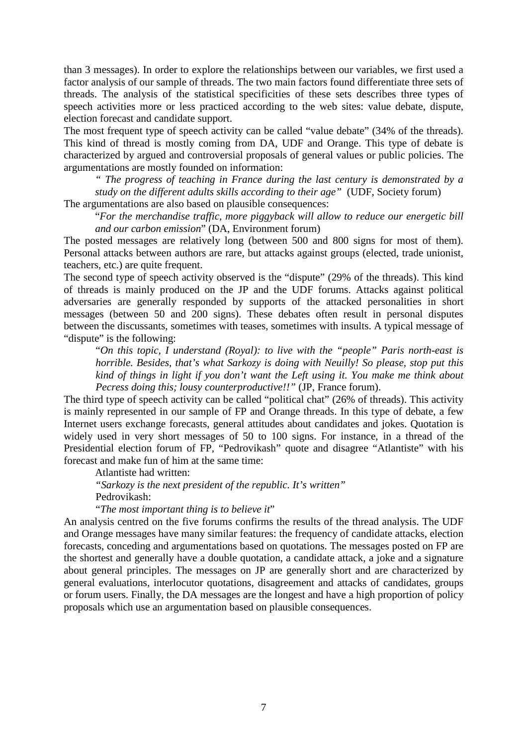than 3 messages). In order to explore the relationships between our variables, we first used a factor analysis of our sample of threads. The two main factors found differentiate three sets of threads. The analysis of the statistical specificities of these sets describes three types of speech activities more or less practiced according to the web sites: value debate, dispute, election forecast and candidate support.

The most frequent type of speech activity can be called "value debate" (34% of the threads). This kind of thread is mostly coming from DA, UDF and Orange. This type of debate is characterized by argued and controversial proposals of general values or public policies. The argumentations are mostly founded on information:

*" The progress of teaching in France during the last century is demonstrated by a study on the different adults skills according to their age"* (UDF, Society forum)

The argumentations are also based on plausible consequences:

"*For the merchandise traffic, more piggyback will allow to reduce our energetic bill and our carbon emission*" (DA, Environment forum)

The posted messages are relatively long (between 500 and 800 signs for most of them). Personal attacks between authors are rare, but attacks against groups (elected, trade unionist, teachers, etc.) are quite frequent.

The second type of speech activity observed is the "dispute" (29% of the threads). This kind of threads is mainly produced on the JP and the UDF forums. Attacks against political adversaries are generally responded by supports of the attacked personalities in short messages (between 50 and 200 signs). These debates often result in personal disputes between the discussants, sometimes with teases, sometimes with insults. A typical message of "dispute" is the following:

"*On this topic, I understand (Royal): to live with the "people" Paris north-east is horrible. Besides, that's what Sarkozy is doing with Neuilly! So please, stop put this kind of things in light if you don't want the Left using it. You make me think about Pecress doing this; lousy counterproductive!!"* (JP, France forum).

The third type of speech activity can be called "political chat" (26% of threads). This activity is mainly represented in our sample of FP and Orange threads. In this type of debate, a few Internet users exchange forecasts, general attitudes about candidates and jokes. Quotation is widely used in very short messages of 50 to 100 signs. For instance, in a thread of the Presidential election forum of FP, "Pedrovikash" quote and disagree "Atlantiste" with his forecast and make fun of him at the same time:

Atlantiste had written:

*"Sarkozy is the next president of the republic. It's written"*  Pedrovikash:

"*The most important thing is to believe it*"

An analysis centred on the five forums confirms the results of the thread analysis. The UDF and Orange messages have many similar features: the frequency of candidate attacks, election forecasts, conceding and argumentations based on quotations. The messages posted on FP are the shortest and generally have a double quotation, a candidate attack, a joke and a signature about general principles. The messages on JP are generally short and are characterized by general evaluations, interlocutor quotations, disagreement and attacks of candidates, groups or forum users. Finally, the DA messages are the longest and have a high proportion of policy proposals which use an argumentation based on plausible consequences.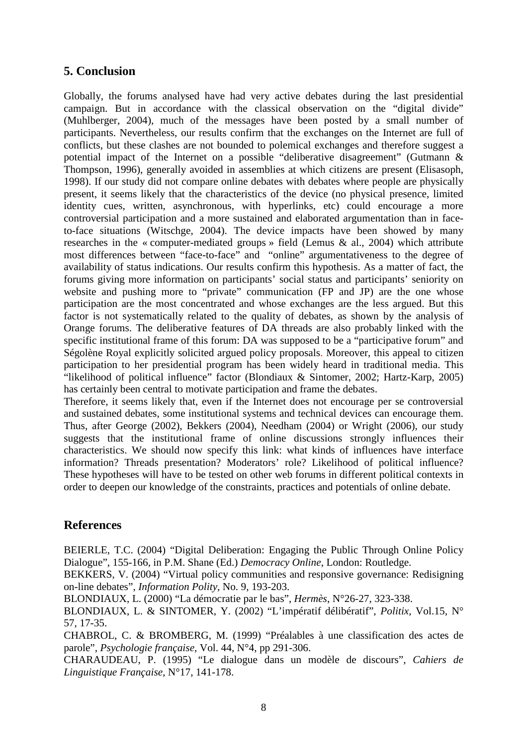# **5. Conclusion**

Globally, the forums analysed have had very active debates during the last presidential campaign. But in accordance with the classical observation on the "digital divide" (Muhlberger, 2004), much of the messages have been posted by a small number of participants. Nevertheless, our results confirm that the exchanges on the Internet are full of conflicts, but these clashes are not bounded to polemical exchanges and therefore suggest a potential impact of the Internet on a possible "deliberative disagreement" (Gutmann & Thompson, 1996), generally avoided in assemblies at which citizens are present (Elisasoph, 1998). If our study did not compare online debates with debates where people are physically present, it seems likely that the characteristics of the device (no physical presence, limited identity cues, written, asynchronous, with hyperlinks, etc) could encourage a more controversial participation and a more sustained and elaborated argumentation than in faceto-face situations (Witschge, 2004). The device impacts have been showed by many researches in the « computer-mediated groups » field (Lemus & al., 2004) which attribute most differences between "face-to-face" and "online" argumentativeness to the degree of availability of status indications. Our results confirm this hypothesis. As a matter of fact, the forums giving more information on participants' social status and participants' seniority on website and pushing more to "private" communication (FP and JP) are the one whose participation are the most concentrated and whose exchanges are the less argued. But this factor is not systematically related to the quality of debates, as shown by the analysis of Orange forums. The deliberative features of DA threads are also probably linked with the specific institutional frame of this forum: DA was supposed to be a "participative forum" and Ségolène Royal explicitly solicited argued policy proposals. Moreover, this appeal to citizen participation to her presidential program has been widely heard in traditional media. This "likelihood of political influence" factor (Blondiaux & Sintomer, 2002; Hartz-Karp, 2005) has certainly been central to motivate participation and frame the debates.

Therefore, it seems likely that, even if the Internet does not encourage per se controversial and sustained debates, some institutional systems and technical devices can encourage them. Thus, after George (2002), Bekkers (2004), Needham (2004) or Wright (2006), our study suggests that the institutional frame of online discussions strongly influences their characteristics. We should now specify this link: what kinds of influences have interface information? Threads presentation? Moderators' role? Likelihood of political influence? These hypotheses will have to be tested on other web forums in different political contexts in order to deepen our knowledge of the constraints, practices and potentials of online debate.

## **References**

BEIERLE, T.C. (2004) "Digital Deliberation: Engaging the Public Through Online Policy Dialogue", 155-166, in P.M. Shane (Ed.) *Democracy Online*, London: Routledge.

BEKKERS, V. (2004) "Virtual policy communities and responsive governance: Redisigning on-line debates", *Information Polity*, No. 9, 193-203.

BLONDIAUX, L. (2000) "La démocratie par le bas", *Hermès*, N°26-27, 323-338.

BLONDIAUX, L. & SINTOMER, Y. (2002) "L'impératif délibératif", *Politix,* Vol.15, N° 57, 17-35.

CHABROL, C. & BROMBERG, M. (1999) "Préalables à une classification des actes de parole", *Psychologie française*, Vol. 44, N°4, pp 291-306.

CHARAUDEAU, P. (1995) "Le dialogue dans un modèle de discours", *Cahiers de Linguistique Française*, N°17, 141-178.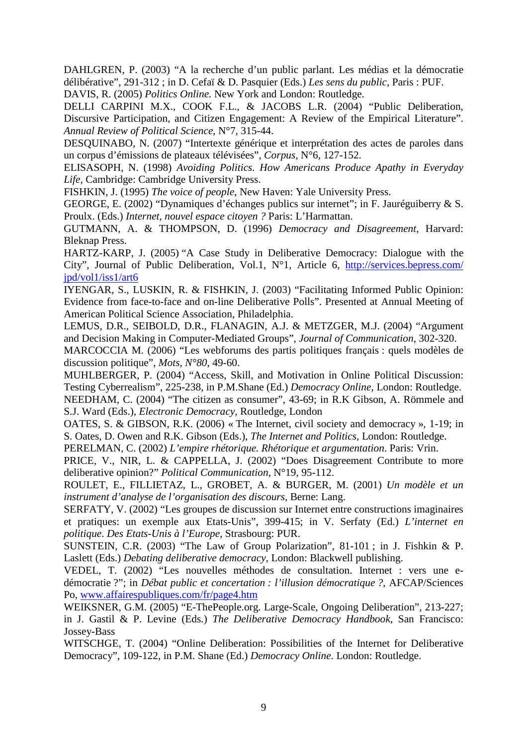DAHLGREN, P. (2003) "A la recherche d'un public parlant. Les médias et la démocratie délibérative", 291-312 ; in D. Cefaï & D. Pasquier (Eds.) *Les sens du public*, Paris : PUF.

DAVIS, R. (2005) *Politics Online.* New York and London: Routledge.

DELLI CARPINI M.X., COOK F.L., & JACOBS L.R. (2004) "Public Deliberation, Discursive Participation, and Citizen Engagement: A Review of the Empirical Literature". *Annual Review of Political Science*, N°7, 315-44.

DESQUINABO, N. (2007) "Intertexte générique et interprétation des actes de paroles dans un corpus d'émissions de plateaux télévisées", *Corpus*, N°6, 127-152.

ELISASOPH, N. (1998) *Avoiding Politics. How Americans Produce Apathy in Everyday Life*, Cambridge: Cambridge University Press.

FISHKIN, J. (1995) *The voice of people*, New Haven: Yale University Press.

GEORGE, E. (2002) "Dynamiques d'échanges publics sur internet"; in F. Jauréguiberry & S. Proulx. (Eds.) *Internet, nouvel espace citoyen ?* Paris: L'Harmattan.

GUTMANN, A. & THOMPSON, D. (1996) *Democracy and Disagreement*, Harvard: Bleknap Press.

HARTZ-KARP, J. (2005) "A Case Study in Deliberative Democracy: Dialogue with the City", Journal of Public Deliberation, Vol.1, N°1, Article 6, http://services.bepress.com/ jpd/vol1/iss1/art6

IYENGAR, S., LUSKIN, R. & FISHKIN, J. (2003) "Facilitating Informed Public Opinion: Evidence from face-to-face and on-line Deliberative Polls". Presented at Annual Meeting of American Political Science Association, Philadelphia.

LEMUS, D.R., SEIBOLD, D.R., FLANAGIN, A.J. & METZGER, M.J. (2004) "Argument and Decision Making in Computer-Mediated Groups", *Journal of Communication*, 302-320.

MARCOCCIA M. (2006) "Les webforums des partis politiques français : quels modèles de discussion politique", *Mots, N°80*, 49-60.

MUHLBERGER, P. (2004) "Access, Skill, and Motivation in Online Political Discussion: Testing Cyberrealism", 225-238, in P.M.Shane (Ed.) *Democracy Online*, London: Routledge. NEEDHAM, C. (2004) "The citizen as consumer", 43-69; in R.K Gibson, A. Römmele and S.J. Ward (Eds.), *Electronic Democracy*, Routledge, London

OATES, S. & GIBSON, R.K. (2006) « The Internet, civil society and democracy », 1-19; in S. Oates, D. Owen and R.K. Gibson (Eds.), *The Internet and Politics,* London: Routledge.

PERELMAN, C. (2002) *L'empire rhétorique. Rhétorique et argumentation*. Paris: Vrin.

PRICE, V., NIR, L. & CAPPELLA, J. (2002) "Does Disagreement Contribute to more deliberative opinion?" *Political Communication*, N°19, 95-112.

ROULET, E., FILLIETAZ, L., GROBET, A. & BURGER, M. (2001) *Un modèle et un instrument d'analyse de l'organisation des discours,* Berne: Lang.

SERFATY, V. (2002) "Les groupes de discussion sur Internet entre constructions imaginaires et pratiques: un exemple aux Etats-Unis", 399-415; in V. Serfaty (Ed.) *L'internet en politique*. *Des Etats-Unis à l'Europe*, Strasbourg: PUR.

SUNSTEIN, C.R. (2003) "The Law of Group Polarization", 81-101 ; in J. Fishkin & P. Laslett (Eds.) *Debating deliberative democracy*, London: Blackwell publishing.

VEDEL, T. (2002) "Les nouvelles méthodes de consultation. Internet : vers une edémocratie ?"; in *Débat public et concertation : l'illusion démocratique ?,* AFCAP/Sciences Po, www.affairespubliques.com/fr/page4.htm

WEIKSNER, G.M. (2005) "E-ThePeople.org. Large-Scale, Ongoing Deliberation", 213-227; in J. Gastil & P. Levine (Eds.) *The Deliberative Democracy Handbook*, San Francisco: Jossey-Bass

WITSCHGE, T. (2004) "Online Deliberation: Possibilities of the Internet for Deliberative Democracy", 109-122, in P.M. Shane (Ed.) *Democracy Online*. London: Routledge.